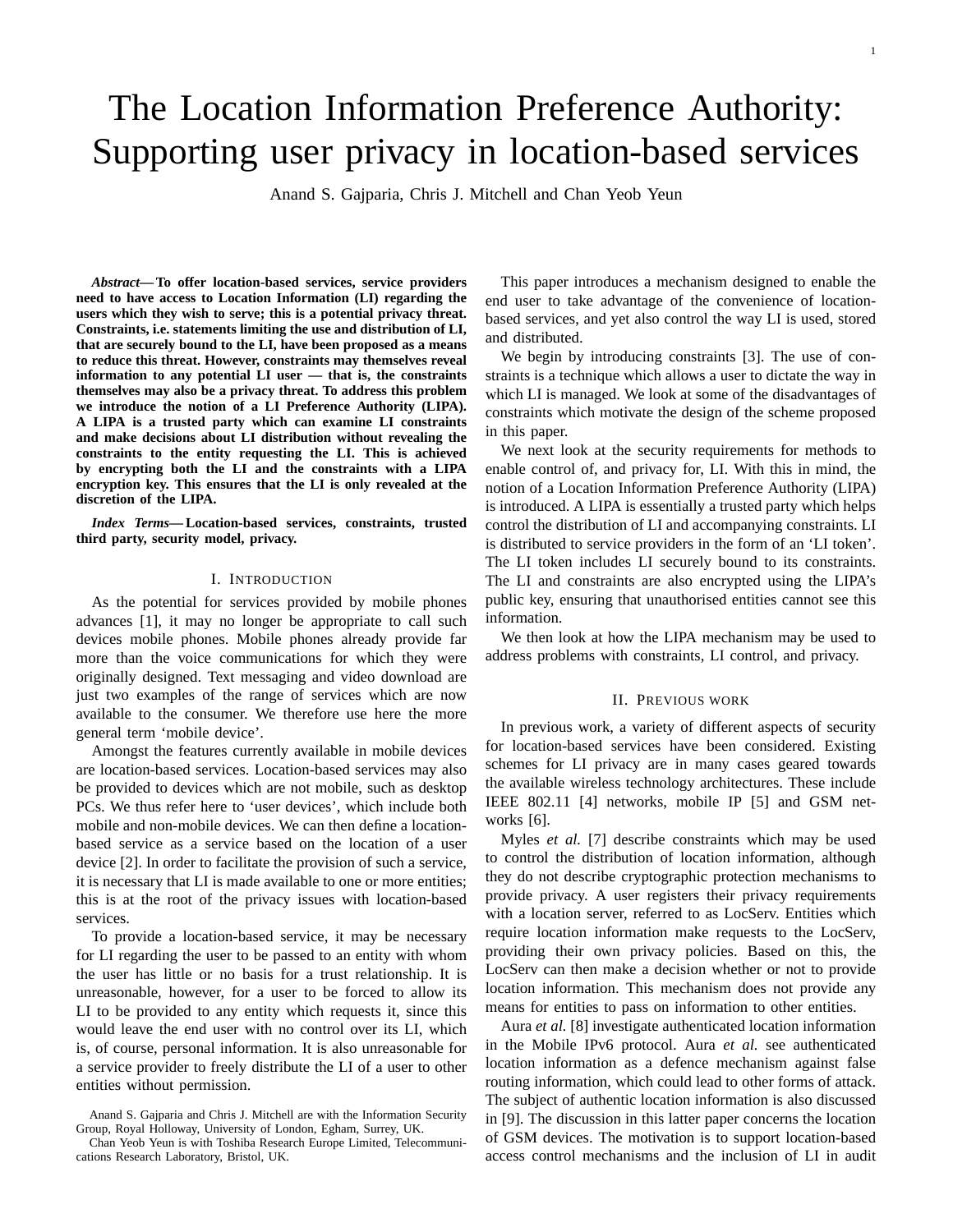# The Location Information Preference Authority: Supporting user privacy in location-based services

Anand S. Gajparia, Chris J. Mitchell and Chan Yeob Yeun

*Abstract***— To offer location-based services, service providers need to have access to Location Information (LI) regarding the users which they wish to serve; this is a potential privacy threat. Constraints, i.e. statements limiting the use and distribution of LI, that are securely bound to the LI, have been proposed as a means to reduce this threat. However, constraints may themselves reveal information to any potential LI user — that is, the constraints themselves may also be a privacy threat. To address this problem we introduce the notion of a LI Preference Authority (LIPA). A LIPA is a trusted party which can examine LI constraints and make decisions about LI distribution without revealing the constraints to the entity requesting the LI. This is achieved by encrypting both the LI and the constraints with a LIPA encryption key. This ensures that the LI is only revealed at the discretion of the LIPA.**

*Index Terms***— Location-based services, constraints, trusted third party, security model, privacy.**

#### I. INTRODUCTION

As the potential for services provided by mobile phones advances [1], it may no longer be appropriate to call such devices mobile phones. Mobile phones already provide far more than the voice communications for which they were originally designed. Text messaging and video download are just two examples of the range of services which are now available to the consumer. We therefore use here the more general term 'mobile device'.

Amongst the features currently available in mobile devices are location-based services. Location-based services may also be provided to devices which are not mobile, such as desktop PCs. We thus refer here to 'user devices', which include both mobile and non-mobile devices. We can then define a locationbased service as a service based on the location of a user device [2]. In order to facilitate the provision of such a service, it is necessary that LI is made available to one or more entities; this is at the root of the privacy issues with location-based services.

To provide a location-based service, it may be necessary for LI regarding the user to be passed to an entity with whom the user has little or no basis for a trust relationship. It is unreasonable, however, for a user to be forced to allow its LI to be provided to any entity which requests it, since this would leave the end user with no control over its LI, which is, of course, personal information. It is also unreasonable for a service provider to freely distribute the LI of a user to other entities without permission.

This paper introduces a mechanism designed to enable the end user to take advantage of the convenience of locationbased services, and yet also control the way LI is used, stored and distributed.

We begin by introducing constraints [3]. The use of constraints is a technique which allows a user to dictate the way in which LI is managed. We look at some of the disadvantages of constraints which motivate the design of the scheme proposed in this paper.

We next look at the security requirements for methods to enable control of, and privacy for, LI. With this in mind, the notion of a Location Information Preference Authority (LIPA) is introduced. A LIPA is essentially a trusted party which helps control the distribution of LI and accompanying constraints. LI is distributed to service providers in the form of an 'LI token'. The LI token includes LI securely bound to its constraints. The LI and constraints are also encrypted using the LIPA's public key, ensuring that unauthorised entities cannot see this information.

We then look at how the LIPA mechanism may be used to address problems with constraints, LI control, and privacy.

#### II. PREVIOUS WORK

In previous work, a variety of different aspects of security for location-based services have been considered. Existing schemes for LI privacy are in many cases geared towards the available wireless technology architectures. These include IEEE 802.11 [4] networks, mobile IP [5] and GSM networks [6].

Myles *et al.* [7] describe constraints which may be used to control the distribution of location information, although they do not describe cryptographic protection mechanisms to provide privacy. A user registers their privacy requirements with a location server, referred to as LocServ. Entities which require location information make requests to the LocServ, providing their own privacy policies. Based on this, the LocServ can then make a decision whether or not to provide location information. This mechanism does not provide any means for entities to pass on information to other entities.

Aura *et al.* [8] investigate authenticated location information in the Mobile IPv6 protocol. Aura *et al.* see authenticated location information as a defence mechanism against false routing information, which could lead to other forms of attack. The subject of authentic location information is also discussed in [9]. The discussion in this latter paper concerns the location of GSM devices. The motivation is to support location-based access control mechanisms and the inclusion of LI in audit

Anand S. Gajparia and Chris J. Mitchell are with the Information Security Group, Royal Holloway, University of London, Egham, Surrey, UK.

Chan Yeob Yeun is with Toshiba Research Europe Limited, Telecommunications Research Laboratory, Bristol, UK.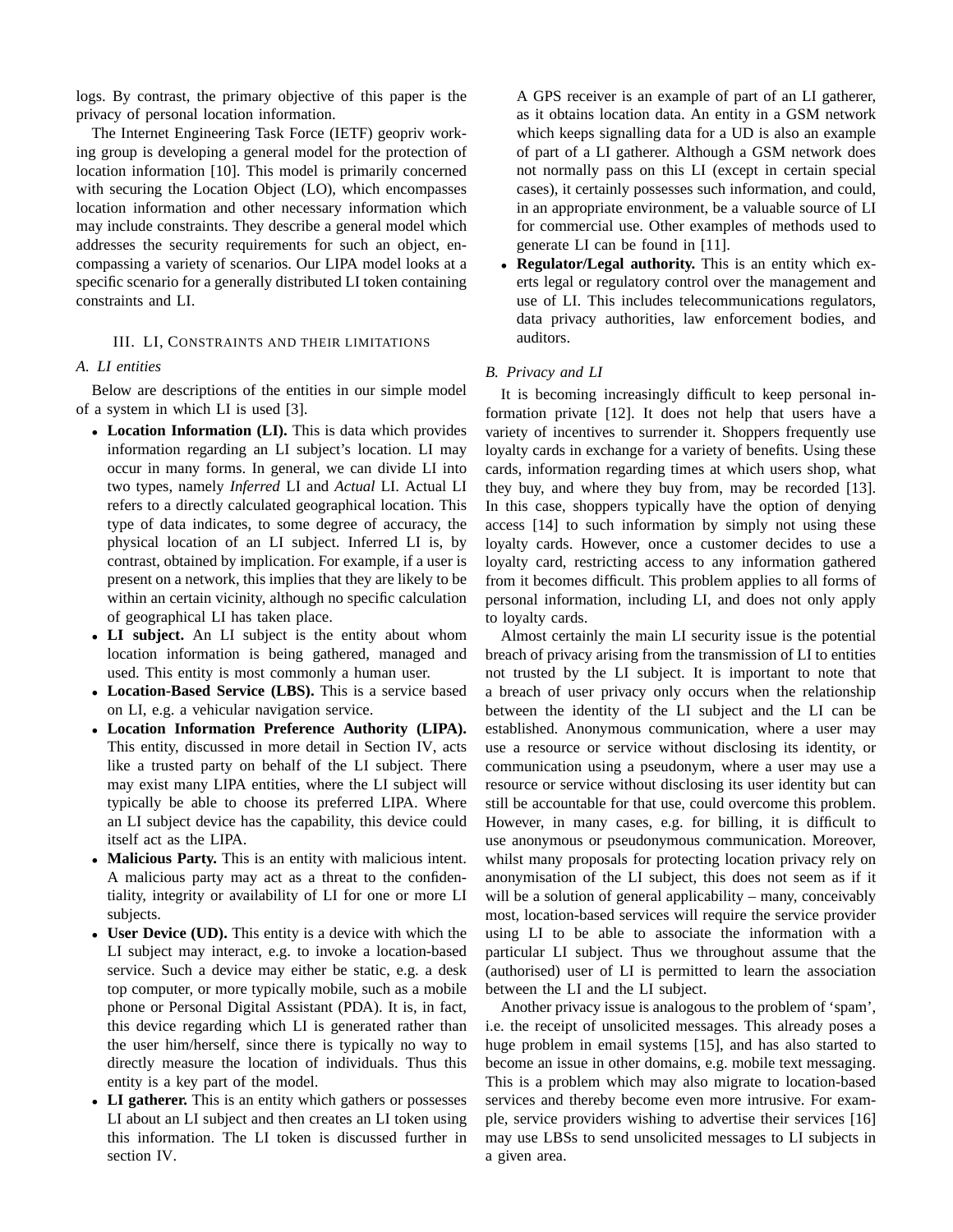logs. By contrast, the primary objective of this paper is the privacy of personal location information.

The Internet Engineering Task Force (IETF) geopriv working group is developing a general model for the protection of location information [10]. This model is primarily concerned with securing the Location Object (LO), which encompasses location information and other necessary information which may include constraints. They describe a general model which addresses the security requirements for such an object, encompassing a variety of scenarios. Our LIPA model looks at a specific scenario for a generally distributed LI token containing constraints and LI.

#### III. LI, CONSTRAINTS AND THEIR LIMITATIONS

#### *A. LI entities*

Below are descriptions of the entities in our simple model of a system in which LI is used [3].

- **Location Information (LI).** This is data which provides information regarding an LI subject's location. LI may occur in many forms. In general, we can divide LI into two types, namely *Inferred* LI and *Actual* LI. Actual LI refers to a directly calculated geographical location. This type of data indicates, to some degree of accuracy, the physical location of an LI subject. Inferred LI is, by contrast, obtained by implication. For example, if a user is present on a network, this implies that they are likely to be within an certain vicinity, although no specific calculation of geographical LI has taken place.
- **LI subject.** An LI subject is the entity about whom location information is being gathered, managed and used. This entity is most commonly a human user.
- **Location-Based Service (LBS).** This is a service based on LI, e.g. a vehicular navigation service.
- **Location Information Preference Authority (LIPA).** This entity, discussed in more detail in Section IV, acts like a trusted party on behalf of the LI subject. There may exist many LIPA entities, where the LI subject will typically be able to choose its preferred LIPA. Where an LI subject device has the capability, this device could itself act as the LIPA.
- **Malicious Party.** This is an entity with malicious intent. A malicious party may act as a threat to the confidentiality, integrity or availability of LI for one or more LI subjects.
- **User Device (UD).** This entity is a device with which the LI subject may interact, e.g. to invoke a location-based service. Such a device may either be static, e.g. a desk top computer, or more typically mobile, such as a mobile phone or Personal Digital Assistant (PDA). It is, in fact, this device regarding which LI is generated rather than the user him/herself, since there is typically no way to directly measure the location of individuals. Thus this entity is a key part of the model.
- **LI gatherer.** This is an entity which gathers or possesses LI about an LI subject and then creates an LI token using this information. The LI token is discussed further in section IV.

A GPS receiver is an example of part of an LI gatherer, as it obtains location data. An entity in a GSM network which keeps signalling data for a UD is also an example of part of a LI gatherer. Although a GSM network does not normally pass on this LI (except in certain special cases), it certainly possesses such information, and could, in an appropriate environment, be a valuable source of LI for commercial use. Other examples of methods used to generate LI can be found in [11].

• **Regulator/Legal authority.** This is an entity which exerts legal or regulatory control over the management and use of LI. This includes telecommunications regulators, data privacy authorities, law enforcement bodies, and auditors.

#### *B. Privacy and LI*

It is becoming increasingly difficult to keep personal information private [12]. It does not help that users have a variety of incentives to surrender it. Shoppers frequently use loyalty cards in exchange for a variety of benefits. Using these cards, information regarding times at which users shop, what they buy, and where they buy from, may be recorded [13]. In this case, shoppers typically have the option of denying access [14] to such information by simply not using these loyalty cards. However, once a customer decides to use a loyalty card, restricting access to any information gathered from it becomes difficult. This problem applies to all forms of personal information, including LI, and does not only apply to loyalty cards.

Almost certainly the main LI security issue is the potential breach of privacy arising from the transmission of LI to entities not trusted by the LI subject. It is important to note that a breach of user privacy only occurs when the relationship between the identity of the LI subject and the LI can be established. Anonymous communication, where a user may use a resource or service without disclosing its identity, or communication using a pseudonym, where a user may use a resource or service without disclosing its user identity but can still be accountable for that use, could overcome this problem. However, in many cases, e.g. for billing, it is difficult to use anonymous or pseudonymous communication. Moreover, whilst many proposals for protecting location privacy rely on anonymisation of the LI subject, this does not seem as if it will be a solution of general applicability – many, conceivably most, location-based services will require the service provider using LI to be able to associate the information with a particular LI subject. Thus we throughout assume that the (authorised) user of LI is permitted to learn the association between the LI and the LI subject.

Another privacy issue is analogous to the problem of 'spam', i.e. the receipt of unsolicited messages. This already poses a huge problem in email systems [15], and has also started to become an issue in other domains, e.g. mobile text messaging. This is a problem which may also migrate to location-based services and thereby become even more intrusive. For example, service providers wishing to advertise their services [16] may use LBSs to send unsolicited messages to LI subjects in a given area.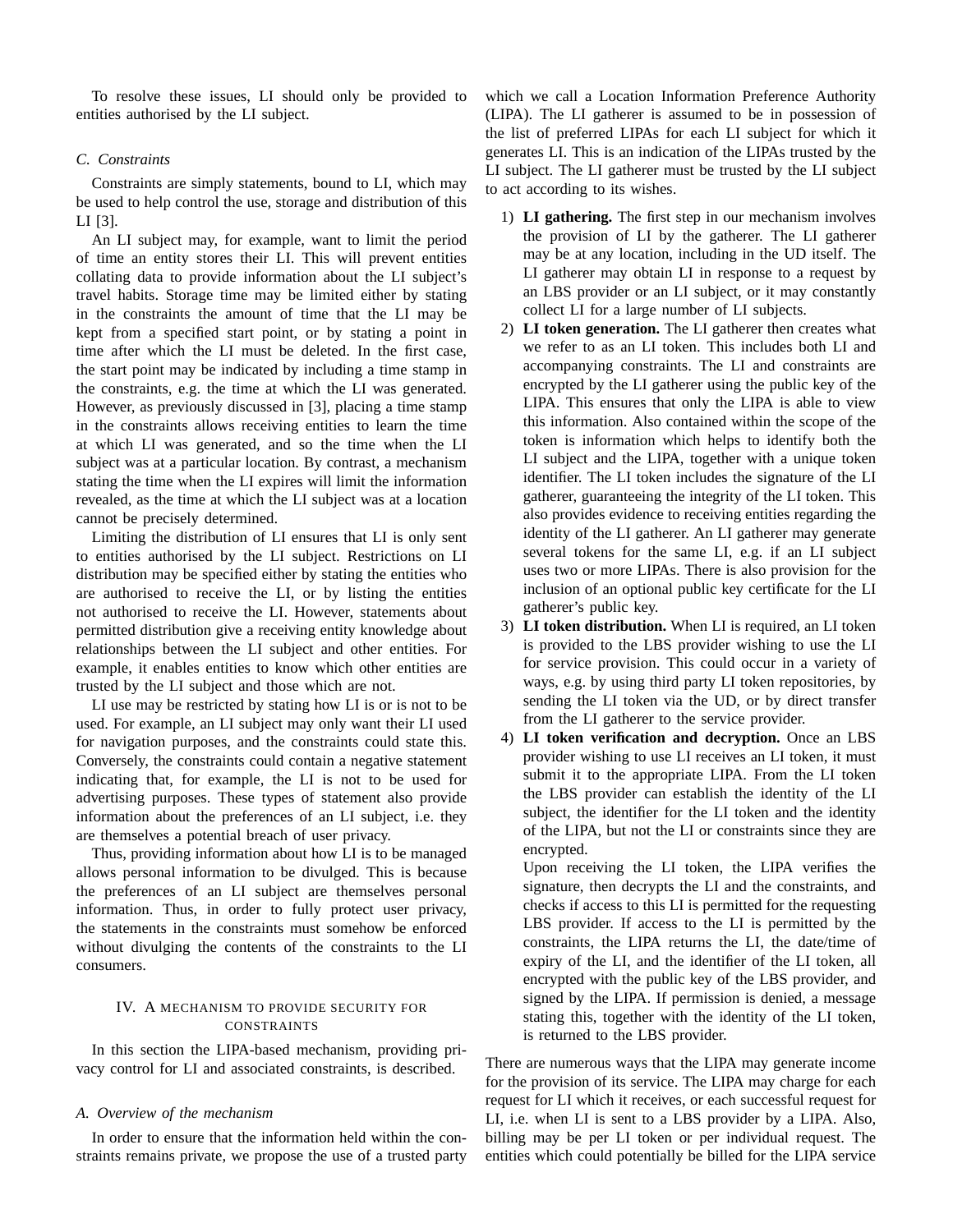To resolve these issues, LI should only be provided to entities authorised by the LI subject.

# *C. Constraints*

Constraints are simply statements, bound to LI, which may be used to help control the use, storage and distribution of this LI [3].

An LI subject may, for example, want to limit the period of time an entity stores their LI. This will prevent entities collating data to provide information about the LI subject's travel habits. Storage time may be limited either by stating in the constraints the amount of time that the LI may be kept from a specified start point, or by stating a point in time after which the LI must be deleted. In the first case, the start point may be indicated by including a time stamp in the constraints, e.g. the time at which the LI was generated. However, as previously discussed in [3], placing a time stamp in the constraints allows receiving entities to learn the time at which LI was generated, and so the time when the LI subject was at a particular location. By contrast, a mechanism stating the time when the LI expires will limit the information revealed, as the time at which the LI subject was at a location cannot be precisely determined.

Limiting the distribution of LI ensures that LI is only sent to entities authorised by the LI subject. Restrictions on LI distribution may be specified either by stating the entities who are authorised to receive the LI, or by listing the entities not authorised to receive the LI. However, statements about permitted distribution give a receiving entity knowledge about relationships between the LI subject and other entities. For example, it enables entities to know which other entities are trusted by the LI subject and those which are not.

LI use may be restricted by stating how LI is or is not to be used. For example, an LI subject may only want their LI used for navigation purposes, and the constraints could state this. Conversely, the constraints could contain a negative statement indicating that, for example, the LI is not to be used for advertising purposes. These types of statement also provide information about the preferences of an LI subject, i.e. they are themselves a potential breach of user privacy.

Thus, providing information about how LI is to be managed allows personal information to be divulged. This is because the preferences of an LI subject are themselves personal information. Thus, in order to fully protect user privacy, the statements in the constraints must somehow be enforced without divulging the contents of the constraints to the LI consumers.

## IV. A MECHANISM TO PROVIDE SECURITY FOR CONSTRAINTS

In this section the LIPA-based mechanism, providing privacy control for LI and associated constraints, is described.

## *A. Overview of the mechanism*

In order to ensure that the information held within the constraints remains private, we propose the use of a trusted party which we call a Location Information Preference Authority (LIPA). The LI gatherer is assumed to be in possession of the list of preferred LIPAs for each LI subject for which it generates LI. This is an indication of the LIPAs trusted by the LI subject. The LI gatherer must be trusted by the LI subject to act according to its wishes.

- 1) **LI gathering.** The first step in our mechanism involves the provision of LI by the gatherer. The LI gatherer may be at any location, including in the UD itself. The LI gatherer may obtain LI in response to a request by an LBS provider or an LI subject, or it may constantly collect LI for a large number of LI subjects.
- 2) **LI token generation.** The LI gatherer then creates what we refer to as an LI token. This includes both LI and accompanying constraints. The LI and constraints are encrypted by the LI gatherer using the public key of the LIPA. This ensures that only the LIPA is able to view this information. Also contained within the scope of the token is information which helps to identify both the LI subject and the LIPA, together with a unique token identifier. The LI token includes the signature of the LI gatherer, guaranteeing the integrity of the LI token. This also provides evidence to receiving entities regarding the identity of the LI gatherer. An LI gatherer may generate several tokens for the same LI, e.g. if an LI subject uses two or more LIPAs. There is also provision for the inclusion of an optional public key certificate for the LI gatherer's public key.
- 3) **LI token distribution.** When LI is required, an LI token is provided to the LBS provider wishing to use the LI for service provision. This could occur in a variety of ways, e.g. by using third party LI token repositories, by sending the LI token via the UD, or by direct transfer from the LI gatherer to the service provider.
- 4) **LI token verification and decryption.** Once an LBS provider wishing to use LI receives an LI token, it must submit it to the appropriate LIPA. From the LI token the LBS provider can establish the identity of the LI subject, the identifier for the LI token and the identity of the LIPA, but not the LI or constraints since they are encrypted.

Upon receiving the LI token, the LIPA verifies the signature, then decrypts the LI and the constraints, and checks if access to this LI is permitted for the requesting LBS provider. If access to the LI is permitted by the constraints, the LIPA returns the LI, the date/time of expiry of the LI, and the identifier of the LI token, all encrypted with the public key of the LBS provider, and signed by the LIPA. If permission is denied, a message stating this, together with the identity of the LI token, is returned to the LBS provider.

There are numerous ways that the LIPA may generate income for the provision of its service. The LIPA may charge for each request for LI which it receives, or each successful request for LI, i.e. when LI is sent to a LBS provider by a LIPA. Also, billing may be per LI token or per individual request. The entities which could potentially be billed for the LIPA service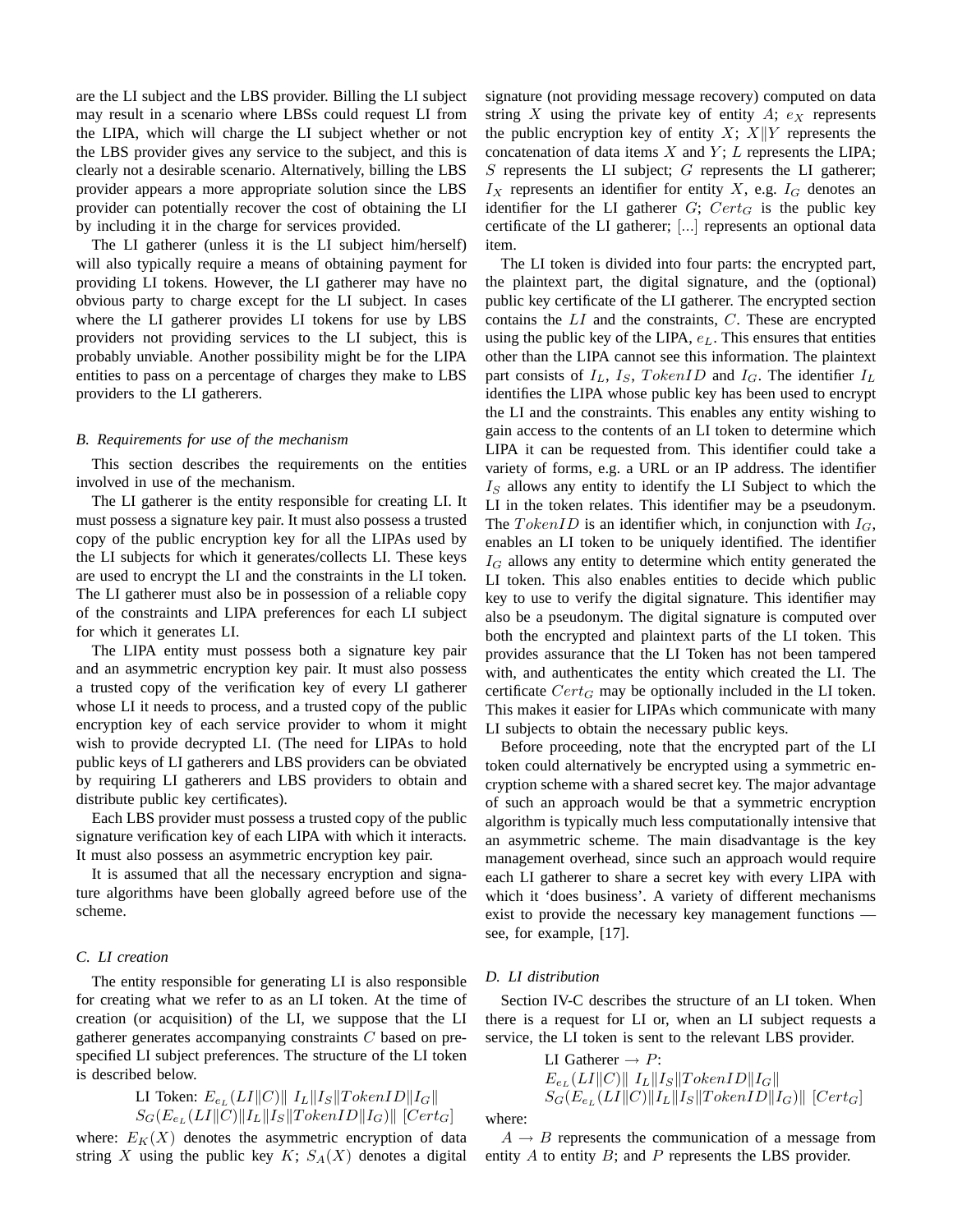are the LI subject and the LBS provider. Billing the LI subject may result in a scenario where LBSs could request LI from the LIPA, which will charge the LI subject whether or not the LBS provider gives any service to the subject, and this is clearly not a desirable scenario. Alternatively, billing the LBS provider appears a more appropriate solution since the LBS provider can potentially recover the cost of obtaining the LI by including it in the charge for services provided.

The LI gatherer (unless it is the LI subject him/herself) will also typically require a means of obtaining payment for providing LI tokens. However, the LI gatherer may have no obvious party to charge except for the LI subject. In cases where the LI gatherer provides LI tokens for use by LBS providers not providing services to the LI subject, this is probably unviable. Another possibility might be for the LIPA entities to pass on a percentage of charges they make to LBS providers to the LI gatherers.

#### *B. Requirements for use of the mechanism*

This section describes the requirements on the entities involved in use of the mechanism.

The LI gatherer is the entity responsible for creating LI. It must possess a signature key pair. It must also possess a trusted copy of the public encryption key for all the LIPAs used by the LI subjects for which it generates/collects LI. These keys are used to encrypt the LI and the constraints in the LI token. The LI gatherer must also be in possession of a reliable copy of the constraints and LIPA preferences for each LI subject for which it generates LI.

The LIPA entity must possess both a signature key pair and an asymmetric encryption key pair. It must also possess a trusted copy of the verification key of every LI gatherer whose LI it needs to process, and a trusted copy of the public encryption key of each service provider to whom it might wish to provide decrypted LI. (The need for LIPAs to hold public keys of LI gatherers and LBS providers can be obviated by requiring LI gatherers and LBS providers to obtain and distribute public key certificates).

Each LBS provider must possess a trusted copy of the public signature verification key of each LIPA with which it interacts. It must also possess an asymmetric encryption key pair.

It is assumed that all the necessary encryption and signature algorithms have been globally agreed before use of the scheme.

#### *C. LI creation*

The entity responsible for generating LI is also responsible for creating what we refer to as an LI token. At the time of creation (or acquisition) of the LI, we suppose that the LI gatherer generates accompanying constraints C based on prespecified LI subject preferences. The structure of the LI token is described below.

LI Token: 
$$
E_{e_L}(LI||C)||I_L||I_S||TokenID||I_G||
$$
  
\n $S_G(E_{e_L}(LI||C)||I_L||I_S||TokenID||I_G)||$  [Cert\_G]

where:  $E_K(X)$  denotes the asymmetric encryption of data string X using the public key  $K$ ;  $S_A(X)$  denotes a digital signature (not providing message recovery) computed on data string X using the private key of entity  $A$ ;  $e<sub>X</sub>$  represents the public encryption key of entity X;  $X||Y$  represents the concatenation of data items  $X$  and  $Y$ ;  $L$  represents the LIPA;  $S$  represents the LI subject;  $G$  represents the LI gatherer;  $I_X$  represents an identifier for entity X, e.g.  $I_G$  denotes an identifier for the LI gatherer  $G$ ;  $Cert_G$  is the public key certificate of the LI gatherer; [...] represents an optional data item.

The LI token is divided into four parts: the encrypted part, the plaintext part, the digital signature, and the (optional) public key certificate of the LI gatherer. The encrypted section contains the  $LI$  and the constraints,  $C$ . These are encrypted using the public key of the LIPA,  $e<sub>L</sub>$ . This ensures that entities other than the LIPA cannot see this information. The plaintext part consists of  $I_L$ ,  $I_S$ ,  $TokenID$  and  $I_G$ . The identifier  $I_L$ identifies the LIPA whose public key has been used to encrypt the LI and the constraints. This enables any entity wishing to gain access to the contents of an LI token to determine which LIPA it can be requested from. This identifier could take a variety of forms, e.g. a URL or an IP address. The identifier  $I<sub>S</sub>$  allows any entity to identify the LI Subject to which the LI in the token relates. This identifier may be a pseudonym. The TokenID is an identifier which, in conjunction with  $I_G$ , enables an LI token to be uniquely identified. The identifier  $I_G$  allows any entity to determine which entity generated the LI token. This also enables entities to decide which public key to use to verify the digital signature. This identifier may also be a pseudonym. The digital signature is computed over both the encrypted and plaintext parts of the LI token. This provides assurance that the LI Token has not been tampered with, and authenticates the entity which created the LI. The certificate  $Cert_G$  may be optionally included in the LI token. This makes it easier for LIPAs which communicate with many LI subjects to obtain the necessary public keys.

Before proceeding, note that the encrypted part of the LI token could alternatively be encrypted using a symmetric encryption scheme with a shared secret key. The major advantage of such an approach would be that a symmetric encryption algorithm is typically much less computationally intensive that an asymmetric scheme. The main disadvantage is the key management overhead, since such an approach would require each LI gatherer to share a secret key with every LIPA with which it 'does business'. A variety of different mechanisms exist to provide the necessary key management functions see, for example, [17].

#### *D. LI distribution*

Section IV-C describes the structure of an LI token. When there is a request for LI or, when an LI subject requests a service, the LI token is sent to the relevant LBS provider.

LI Gatherer 
$$
\rightarrow P
$$
:  
\n $E_{e_L}(LI||C)||I_L||I_S||TokenID||I_G||$   
\n $S_G(E_{e_L}(LI||C)||I_L||I_S||TokenID||I_G)||[Cert_G]$ 

where:

 $A \rightarrow B$  represents the communication of a message from entity  $A$  to entity  $B$ ; and  $P$  represents the LBS provider.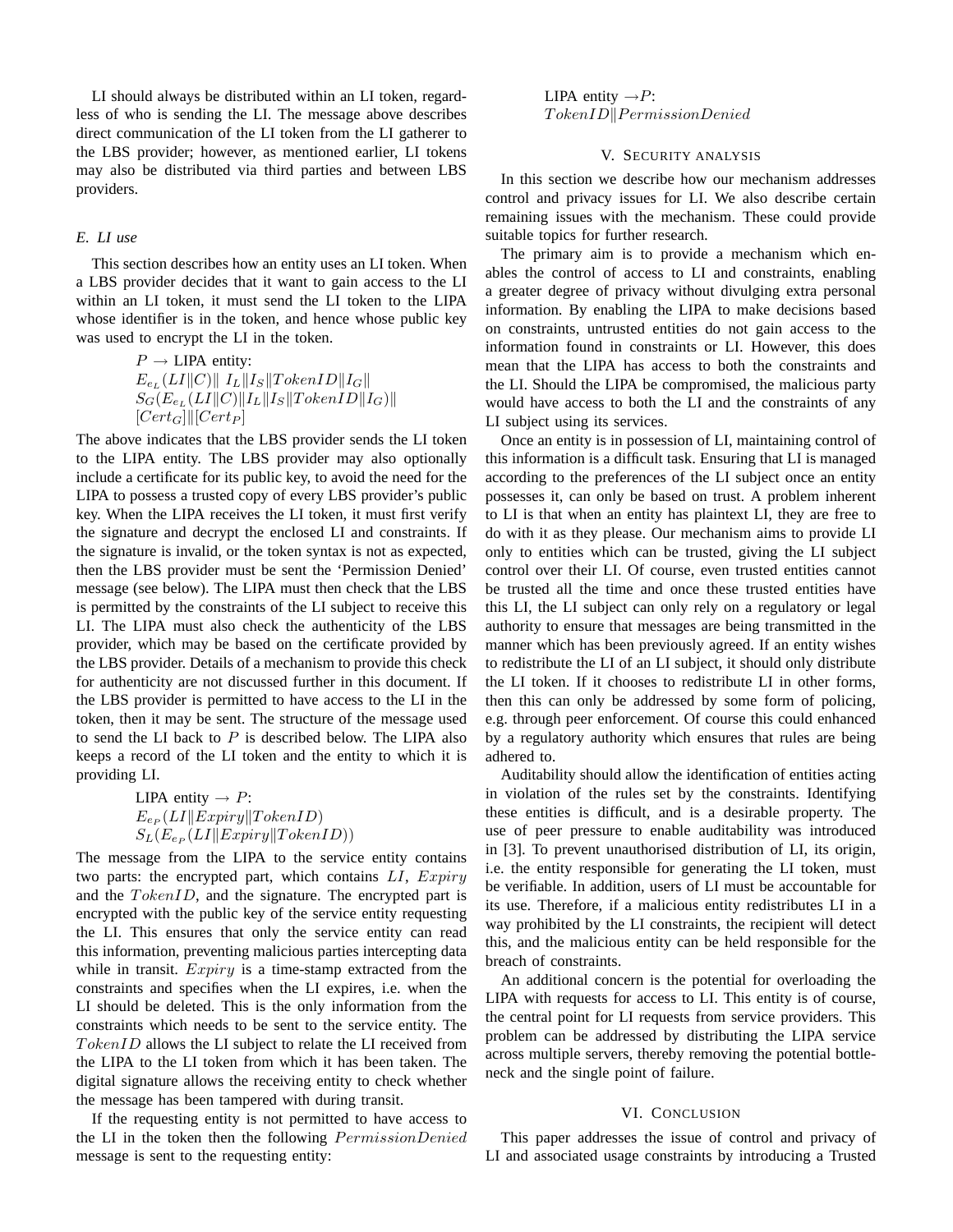LI should always be distributed within an LI token, regardless of who is sending the LI. The message above describes direct communication of the LI token from the LI gatherer to the LBS provider; however, as mentioned earlier, LI tokens may also be distributed via third parties and between LBS providers.

## *E. LI use*

This section describes how an entity uses an LI token. When a LBS provider decides that it want to gain access to the LI within an LI token, it must send the LI token to the LIPA whose identifier is in the token, and hence whose public key was used to encrypt the LI in the token.

$$
\begin{array}{l} P \rightarrow \text{LIPA entity:}\\ E_{e_L}(LI\|C)\|\,\, I_L\|I_S\|TokenID\|I_G\|\\ S_G(E_{e_L}(LI\|C)\|I_L\|I_S\|TokenID\|I_G)\|\\ [Cert_G]\| [Cert_P] \end{array}
$$

The above indicates that the LBS provider sends the LI token to the LIPA entity. The LBS provider may also optionally include a certificate for its public key, to avoid the need for the LIPA to possess a trusted copy of every LBS provider's public key. When the LIPA receives the LI token, it must first verify the signature and decrypt the enclosed LI and constraints. If the signature is invalid, or the token syntax is not as expected, then the LBS provider must be sent the 'Permission Denied' message (see below). The LIPA must then check that the LBS is permitted by the constraints of the LI subject to receive this LI. The LIPA must also check the authenticity of the LBS provider, which may be based on the certificate provided by the LBS provider. Details of a mechanism to provide this check for authenticity are not discussed further in this document. If the LBS provider is permitted to have access to the LI in the token, then it may be sent. The structure of the message used to send the LI back to  $P$  is described below. The LIPA also keeps a record of the LI token and the entity to which it is providing LI.

LIPA entity 
$$
\rightarrow P
$$
:  
\n $E_{e_P}(LI||Expiry||TokenID)$   
\n $S_L(E_{e_P}(LI||Expiry||TokenID))$ 

The message from the LIPA to the service entity contains two parts: the encrypted part, which contains  $LI$ ,  $Expiry$ and the  $TokenID$ , and the signature. The encrypted part is encrypted with the public key of the service entity requesting the LI. This ensures that only the service entity can read this information, preventing malicious parties intercepting data while in transit.  $Expiry$  is a time-stamp extracted from the constraints and specifies when the LI expires, i.e. when the LI should be deleted. This is the only information from the constraints which needs to be sent to the service entity. The  $TokenID$  allows the LI subject to relate the LI received from the LIPA to the LI token from which it has been taken. The digital signature allows the receiving entity to check whether the message has been tampered with during transit.

If the requesting entity is not permitted to have access to the LI in the token then the following PermissionDenied message is sent to the requesting entity:

LIPA entity  $\rightarrow P$ :  $TokenID||PermissionDenied$ 

## V. SECURITY ANALYSIS

In this section we describe how our mechanism addresses control and privacy issues for LI. We also describe certain remaining issues with the mechanism. These could provide suitable topics for further research.

The primary aim is to provide a mechanism which enables the control of access to LI and constraints, enabling a greater degree of privacy without divulging extra personal information. By enabling the LIPA to make decisions based on constraints, untrusted entities do not gain access to the information found in constraints or LI. However, this does mean that the LIPA has access to both the constraints and the LI. Should the LIPA be compromised, the malicious party would have access to both the LI and the constraints of any LI subject using its services.

Once an entity is in possession of LI, maintaining control of this information is a difficult task. Ensuring that LI is managed according to the preferences of the LI subject once an entity possesses it, can only be based on trust. A problem inherent to LI is that when an entity has plaintext LI, they are free to do with it as they please. Our mechanism aims to provide LI only to entities which can be trusted, giving the LI subject control over their LI. Of course, even trusted entities cannot be trusted all the time and once these trusted entities have this LI, the LI subject can only rely on a regulatory or legal authority to ensure that messages are being transmitted in the manner which has been previously agreed. If an entity wishes to redistribute the LI of an LI subject, it should only distribute the LI token. If it chooses to redistribute LI in other forms, then this can only be addressed by some form of policing, e.g. through peer enforcement. Of course this could enhanced by a regulatory authority which ensures that rules are being adhered to.

Auditability should allow the identification of entities acting in violation of the rules set by the constraints. Identifying these entities is difficult, and is a desirable property. The use of peer pressure to enable auditability was introduced in [3]. To prevent unauthorised distribution of LI, its origin, i.e. the entity responsible for generating the LI token, must be verifiable. In addition, users of LI must be accountable for its use. Therefore, if a malicious entity redistributes LI in a way prohibited by the LI constraints, the recipient will detect this, and the malicious entity can be held responsible for the breach of constraints.

An additional concern is the potential for overloading the LIPA with requests for access to LI. This entity is of course, the central point for LI requests from service providers. This problem can be addressed by distributing the LIPA service across multiple servers, thereby removing the potential bottleneck and the single point of failure.

#### VI. CONCLUSION

This paper addresses the issue of control and privacy of LI and associated usage constraints by introducing a Trusted